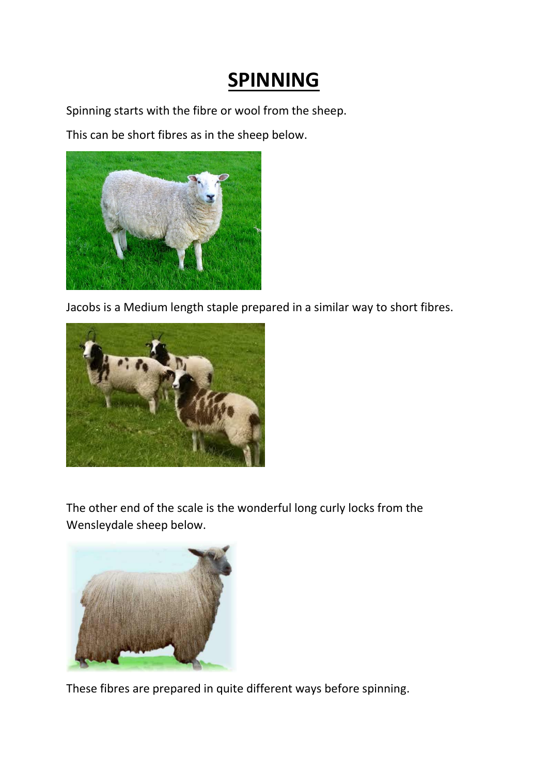## **SPINNING**

Spinning starts with the fibre or wool from the sheep.

This can be short fibres as in the sheep below.



Jacobs is a Medium length staple prepared in a similar way to short fibres.



The other end of the scale is the wonderful long curly locks from the Wensleydale sheep below.



These fibres are prepared in quite different ways before spinning.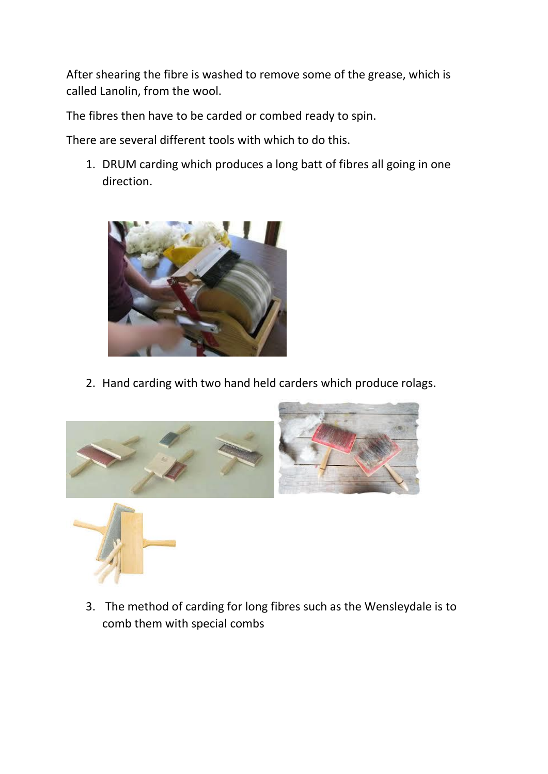After shearing the fibre is washed to remove some of the grease, which is called Lanolin, from the wool.

The fibres then have to be carded or combed ready to spin.

There are several different tools with which to do this.

1. DRUM carding which produces a long batt of fibres all going in one direction.



2. Hand carding with two hand held carders which produce rolags.



3. The method of carding for long fibres such as the Wensleydale is to comb them with special combs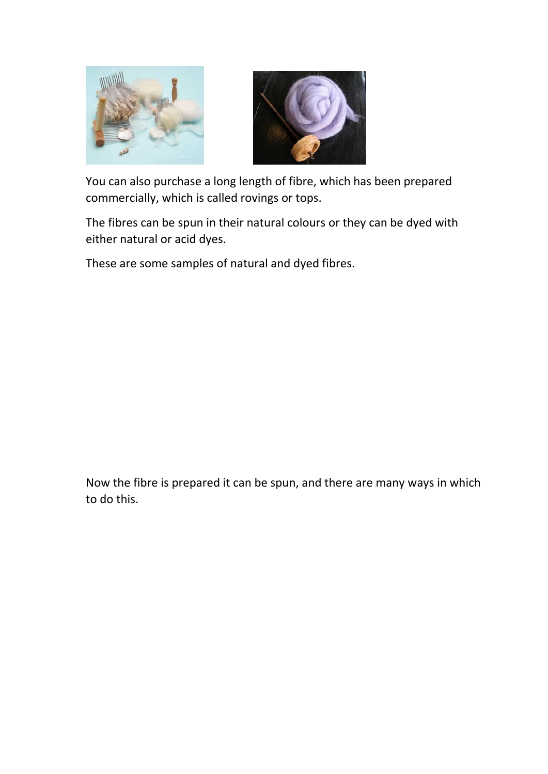



You can also purchase a long length of fibre, which has been prepared commercially, which is called rovings or tops.

The fibres can be spun in their natural colours or they can be dyed with either natural or acid dyes.

These are some samples of natural and dyed fibres.

Now the fibre is prepared it can be spun, and there are many ways in which to do this.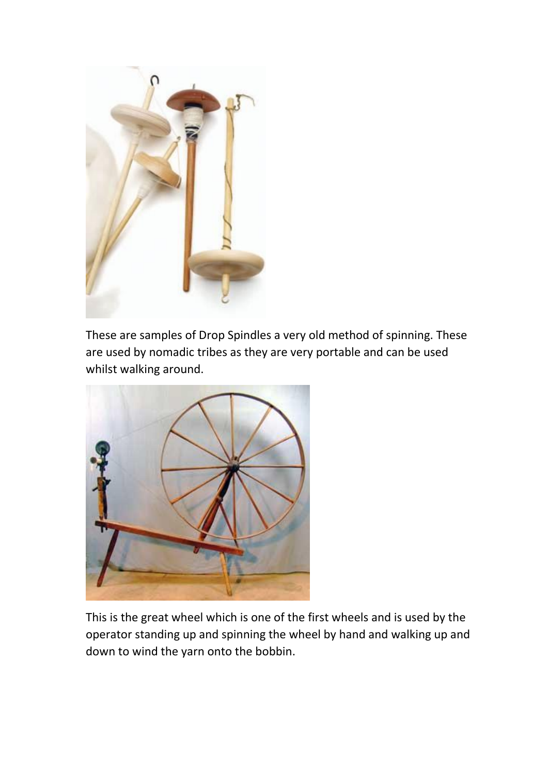

These are samples of Drop Spindles a very old method of spinning. These are used by nomadic tribes as they are very portable and can be used whilst walking around.



This is the great wheel which is one of the first wheels and is used by the operator standing up and spinning the wheel by hand and walking up and down to wind the yarn onto the bobbin.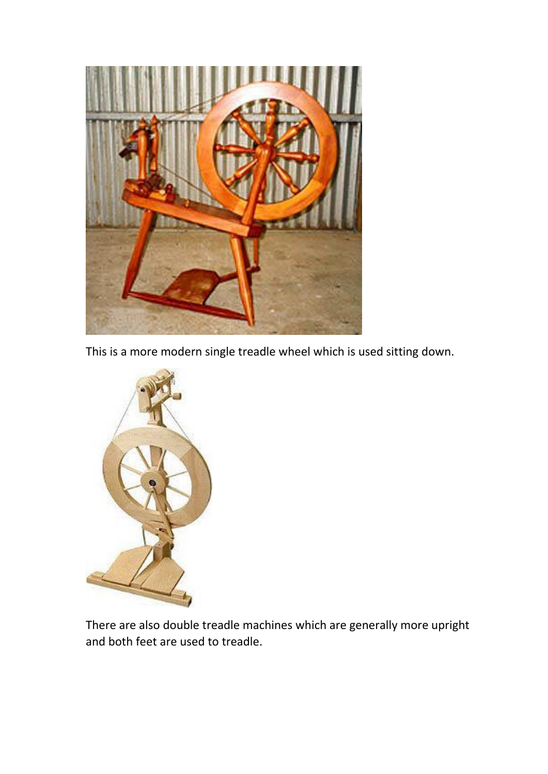

This is a more modern single treadle wheel which is used sitting down.



There are also double treadle machines which are generally more upright and both feet are used to treadle.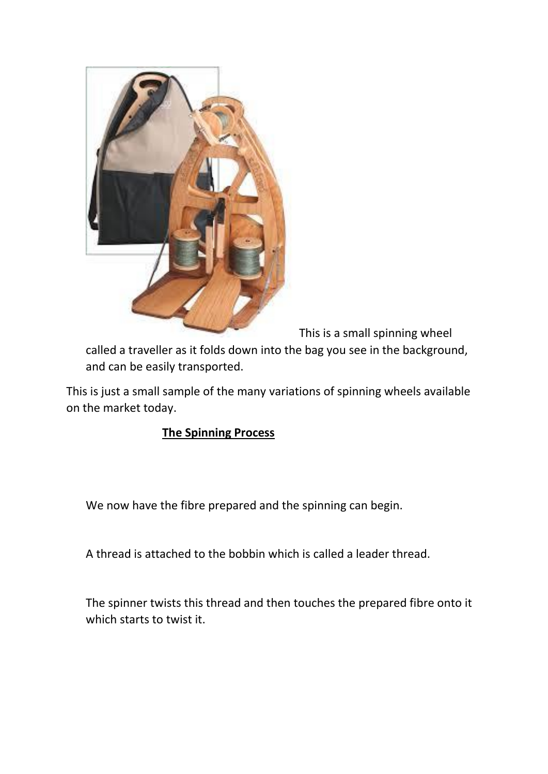

This is a small spinning wheel

called a traveller as it folds down into the bag you see in the background, and can be easily transported.

This is just a small sample of the many variations of spinning wheels available on the market today.

## **The Spinning Process**

We now have the fibre prepared and the spinning can begin.

A thread is attached to the bobbin which is called a leader thread.

The spinner twists this thread and then touches the prepared fibre onto it which starts to twist it.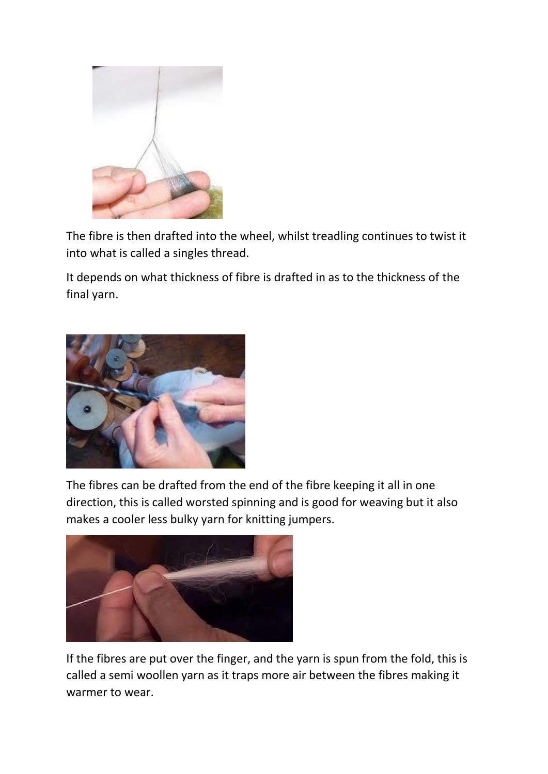

The fibre is then drafted into the wheel, whilst treadling continues to twist it into what is called a singles thread.

It depends on what thickness of fibre is drafted in as to the thickness of the final yarn.



The fibres can be drafted from the end of the fibre keeping it all in one direction, this is called worsted spinning and is good for weaving but it also makes a cooler less bulky yarn for knitting jumpers.



If the fibres are put over the finger, and the yarn is spun from the fold, this is called a semi woollen yarn as it traps more air between the fibres making it warmer to wear.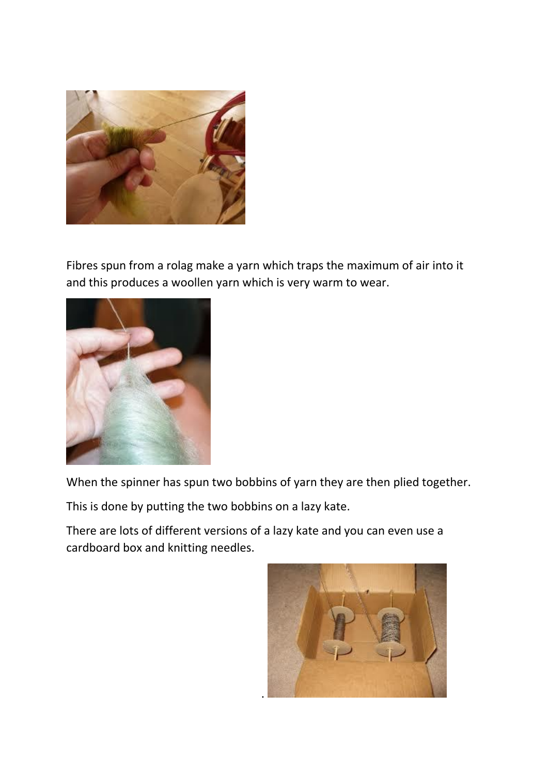

Fibres spun from a rolag make a yarn which traps the maximum of air into it and this produces a woollen yarn which is very warm to wear.



When the spinner has spun two bobbins of yarn they are then plied together.

This is done by putting the two bobbins on a lazy kate.

There are lots of different versions of a lazy kate and you can even use a cardboard box and knitting needles.

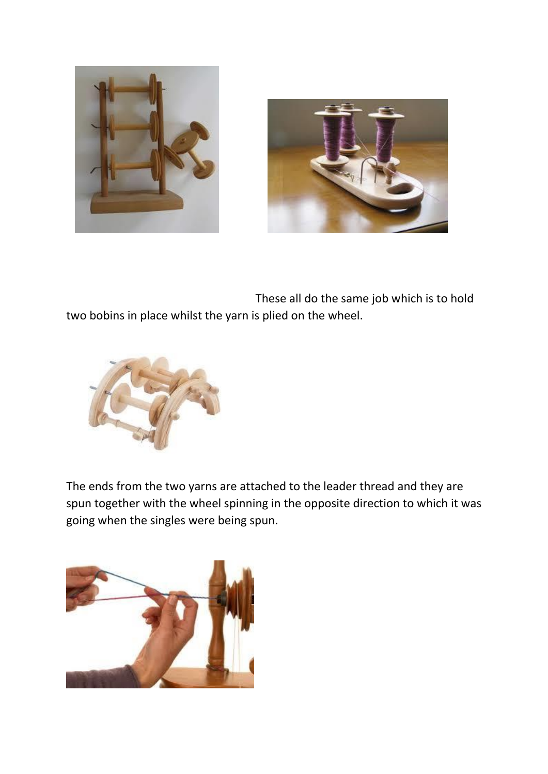



 These all do the same job which is to hold two bobins in place whilst the yarn is plied on the wheel.



The ends from the two yarns are attached to the leader thread and they are spun together with the wheel spinning in the opposite direction to which it was going when the singles were being spun.